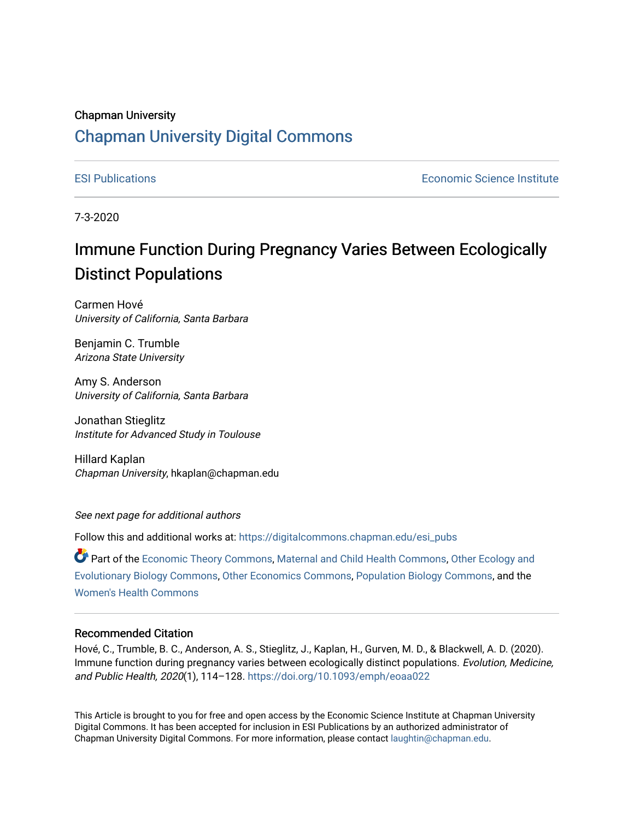#### Chapman University

## [Chapman University Digital Commons](https://digitalcommons.chapman.edu/)

[ESI Publications](https://digitalcommons.chapman.edu/esi_pubs) [Economic Science Institute](https://digitalcommons.chapman.edu/esi) 

7-3-2020

## Immune Function During Pregnancy Varies Between Ecologically Distinct Populations

Carmen Hové University of California, Santa Barbara

Benjamin C. Trumble Arizona State University

Amy S. Anderson University of California, Santa Barbara

Jonathan Stieglitz Institute for Advanced Study in Toulouse

Hillard Kaplan Chapman University, hkaplan@chapman.edu

See next page for additional authors

Follow this and additional works at: [https://digitalcommons.chapman.edu/esi\\_pubs](https://digitalcommons.chapman.edu/esi_pubs?utm_source=digitalcommons.chapman.edu%2Fesi_pubs%2F254&utm_medium=PDF&utm_campaign=PDFCoverPages) 

Part of the [Economic Theory Commons](https://network.bepress.com/hgg/discipline/344?utm_source=digitalcommons.chapman.edu%2Fesi_pubs%2F254&utm_medium=PDF&utm_campaign=PDFCoverPages), [Maternal and Child Health Commons](https://network.bepress.com/hgg/discipline/745?utm_source=digitalcommons.chapman.edu%2Fesi_pubs%2F254&utm_medium=PDF&utm_campaign=PDFCoverPages), [Other Ecology and](https://network.bepress.com/hgg/discipline/21?utm_source=digitalcommons.chapman.edu%2Fesi_pubs%2F254&utm_medium=PDF&utm_campaign=PDFCoverPages)  [Evolutionary Biology Commons](https://network.bepress.com/hgg/discipline/21?utm_source=digitalcommons.chapman.edu%2Fesi_pubs%2F254&utm_medium=PDF&utm_campaign=PDFCoverPages), [Other Economics Commons,](https://network.bepress.com/hgg/discipline/353?utm_source=digitalcommons.chapman.edu%2Fesi_pubs%2F254&utm_medium=PDF&utm_campaign=PDFCoverPages) [Population Biology Commons,](https://network.bepress.com/hgg/discipline/19?utm_source=digitalcommons.chapman.edu%2Fesi_pubs%2F254&utm_medium=PDF&utm_campaign=PDFCoverPages) and the [Women's Health Commons](https://network.bepress.com/hgg/discipline/1241?utm_source=digitalcommons.chapman.edu%2Fesi_pubs%2F254&utm_medium=PDF&utm_campaign=PDFCoverPages)

#### Recommended Citation

Hové, C., Trumble, B. C., Anderson, A. S., Stieglitz, J., Kaplan, H., Gurven, M. D., & Blackwell, A. D. (2020). Immune function during pregnancy varies between ecologically distinct populations. Evolution, Medicine, and Public Health, 2020(1), 114–128.<https://doi.org/10.1093/emph/eoaa022>

This Article is brought to you for free and open access by the Economic Science Institute at Chapman University Digital Commons. It has been accepted for inclusion in ESI Publications by an authorized administrator of Chapman University Digital Commons. For more information, please contact [laughtin@chapman.edu](mailto:laughtin@chapman.edu).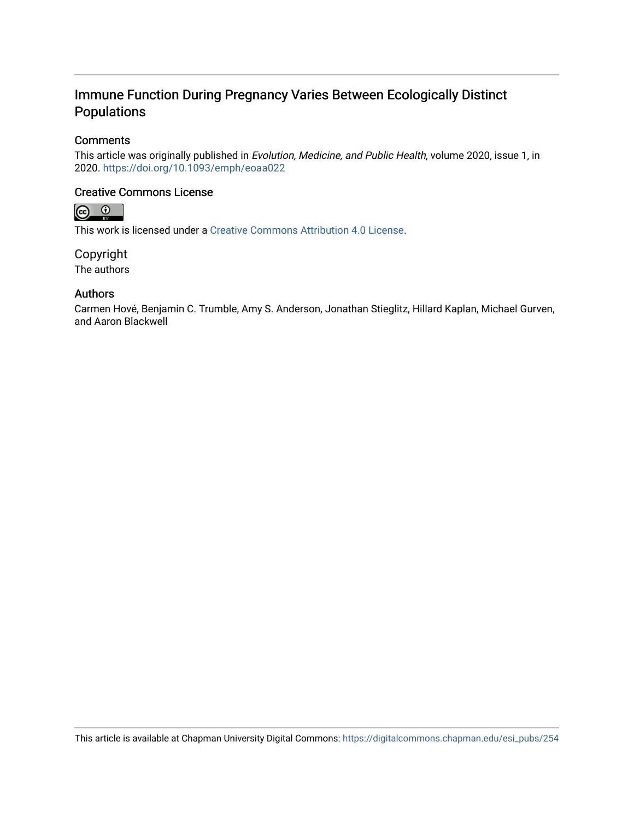## Immune Function During Pregnancy Varies Between Ecologically Distinct Populations

### **Comments**

This article was originally published in Evolution, Medicine, and Public Health, volume 2020, issue 1, in 2020. <https://doi.org/10.1093/emph/eoaa022>

#### Creative Commons License



This work is licensed under a [Creative Commons Attribution 4.0 License](https://creativecommons.org/licenses/by/4.0/).

Copyright The authors

#### Authors

Carmen Hové, Benjamin C. Trumble, Amy S. Anderson, Jonathan Stieglitz, Hillard Kaplan, Michael Gurven, and Aaron Blackwell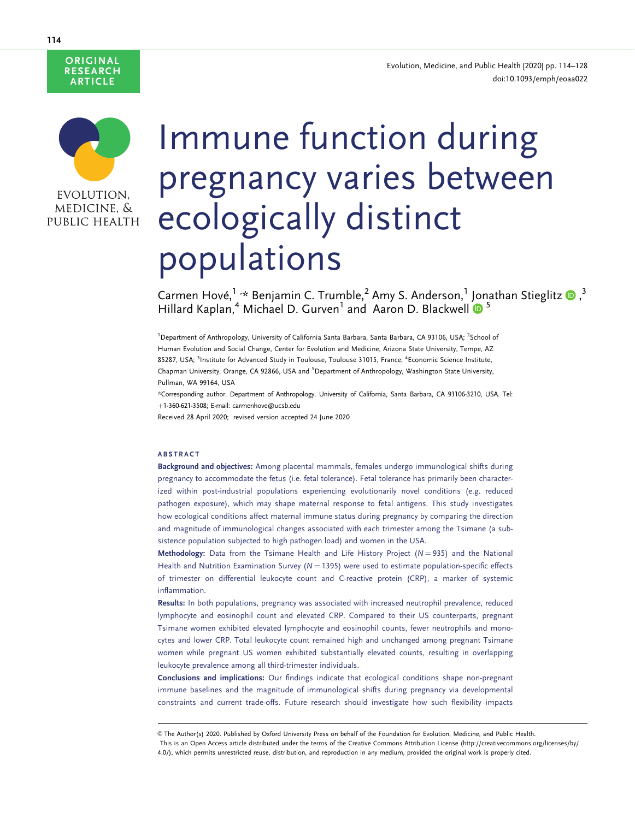

**ORIGINAL RESEARCH** ARTICLE

# Immune function during pregnancy varies between ecologically distinct populations

Carmen Hové, $^1$   $^{\star\star}$  Benjamin C. Trumble, $^2$  Amy S. Anderson, $^1$  Jonathan Stieglitz  $\textcolor{red}{\bullet}$  , $^3$ Hillard Kaplan,<sup>4</sup> Michael D. Gurven<sup>1</sup> and Aaron D. Blackwell <sup>5</sup>

<sup>1</sup> Department of Anthropology, University of California Santa Barbara, Santa Barbara, CA 93106, USA; <sup>2</sup>School of Human Evolution and Social Change, Center for Evolution and Medicine, Arizona State University, Tempe, AZ 85287, USA; <sup>3</sup>Institute for Advanced Study in Toulouse, Toulouse 31015, France; <sup>4</sup>Economic Science Institute, Chapman University, Orange, CA 92866, USA and <sup>5</sup>Department of Anthropology, Washington State University, Pullman, WA 99164, USA

\*Corresponding author. Department of Anthropology, University of California, Santa Barbara, CA 93106-3210, USA. Tel: þ1-360-621-3508; E-mail: carmenhove@ucsb.edu

Received 28 April 2020; revised version accepted 24 June 2020

#### ABSTRACT

Background and objectives: Among placental mammals, females undergo immunological shifts during pregnancy to accommodate the fetus (i.e. fetal tolerance). Fetal tolerance has primarily been characterized within post-industrial populations experiencing evolutionarily novel conditions (e.g. reduced pathogen exposure), which may shape maternal response to fetal antigens. This study investigates how ecological conditions affect maternal immune status during pregnancy by comparing the direction and magnitude of immunological changes associated with each trimester among the Tsimane (a subsistence population subjected to high pathogen load) and women in the USA.

Methodology: Data from the Tsimane Health and Life History Project ( $N = 935$ ) and the National Health and Nutrition Examination Survey ( $N = 1395$ ) were used to estimate population-specific effects of trimester on differential leukocyte count and C-reactive protein (CRP), a marker of systemic inflammation.

Results: In both populations, pregnancy was associated with increased neutrophil prevalence, reduced lymphocyte and eosinophil count and elevated CRP. Compared to their US counterparts, pregnant Tsimane women exhibited elevated lymphocyte and eosinophil counts, fewer neutrophils and monocytes and lower CRP. Total leukocyte count remained high and unchanged among pregnant Tsimane women while pregnant US women exhibited substantially elevated counts, resulting in overlapping leukocyte prevalence among all third-trimester individuals.

Conclusions and implications: Our findings indicate that ecological conditions shape non-pregnant immune baselines and the magnitude of immunological shifts during pregnancy via developmental constraints and current trade-offs. Future research should investigate how such flexibility impacts

V<sup>C</sup> The Author(s) 2020. Published by Oxford University Press on behalf of the Foundation for Evolution, Medicine, and Public Health. This is an Open Access article distributed under the terms of the Creative Commons Attribution License (http://creativecommons.org/licenses/by/ 4.0/), which permits unrestricted reuse, distribution, and reproduction in any medium, provided the original work is properly cited.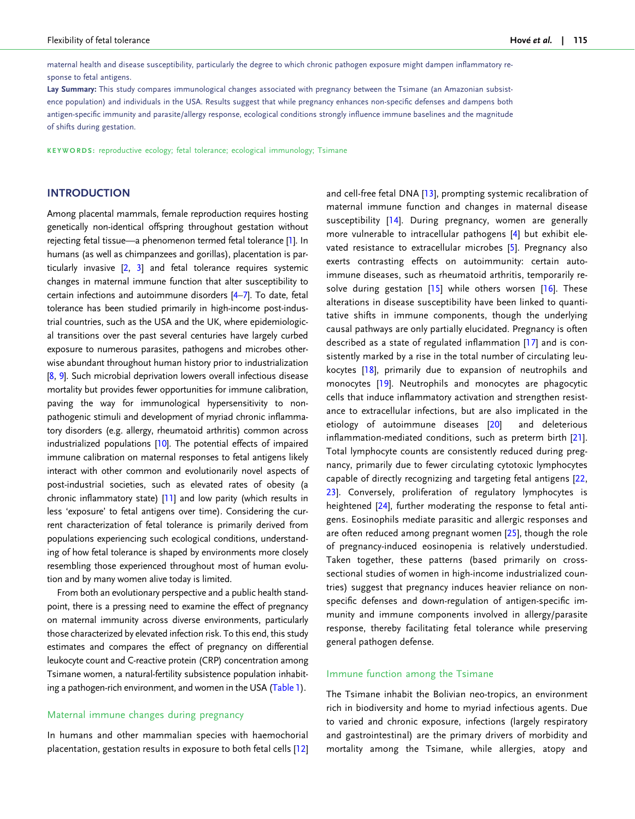<span id="page-3-0"></span>maternal health and disease susceptibility, particularly the degree to which chronic pathogen exposure might dampen inflammatory response to fetal antigens.

Lay Summary: This study compares immunological changes associated with pregnancy between the Tsimane (an Amazonian subsistence population) and individuals in the USA. Results suggest that while pregnancy enhances non-specific defenses and dampens both antigen-specific immunity and parasite/allergy response, ecological conditions strongly influence immune baselines and the magnitude of shifts during gestation.

KEYWORDS: reproductive ecology; fetal tolerance; ecological immunology; Tsimane

#### **INTRODUCTION**

Among placental mammals, female reproduction requires hosting genetically non-identical offspring throughout gestation without rejecting fetal tissue—a phenomenon termed fetal tolerance [\[1\]](#page-15-0). In humans (as well as chimpanzees and gorillas), placentation is particularly invasive [\[2,](#page-15-0) [3](#page-15-0)] and fetal tolerance requires systemic changes in maternal immune function that alter susceptibility to certain infections and autoimmune disorders [\[4–7\]](#page-15-0). To date, fetal tolerance has been studied primarily in high-income post-industrial countries, such as the USA and the UK, where epidemiological transitions over the past several centuries have largely curbed exposure to numerous parasites, pathogens and microbes otherwise abundant throughout human history prior to industrialization [[8](#page-15-0), [9\]](#page-15-0). Such microbial deprivation lowers overall infectious disease mortality but provides fewer opportunities for immune calibration, paving the way for immunological hypersensitivity to nonpathogenic stimuli and development of myriad chronic inflammatory disorders (e.g. allergy, rheumatoid arthritis) common across industrialized populations [[10\]](#page-15-0). The potential effects of impaired immune calibration on maternal responses to fetal antigens likely interact with other common and evolutionarily novel aspects of post-industrial societies, such as elevated rates of obesity (a chronic inflammatory state) [[11\]](#page-15-0) and low parity (which results in less 'exposure' to fetal antigens over time). Considering the current characterization of fetal tolerance is primarily derived from populations experiencing such ecological conditions, understanding of how fetal tolerance is shaped by environments more closely resembling those experienced throughout most of human evolution and by many women alive today is limited.

From both an evolutionary perspective and a public health standpoint, there is a pressing need to examine the effect of pregnancy on maternal immunity across diverse environments, particularly those characterized by elevated infection risk. To this end, this study estimates and compares the effect of pregnancy on differential leukocyte count and C-reactive protein (CRP) concentration among Tsimane women, a natural-fertility subsistence population inhabiting a pathogen-rich environment, and women in the USA ([Table 1\)](#page-4-0).

#### Maternal immune changes during pregnancy

In humans and other mammalian species with haemochorial placentation, gestation results in exposure to both fetal cells [[12](#page-15-0)] and cell-free fetal DNA  $[13]$ , prompting systemic recalibration of maternal immune function and changes in maternal disease susceptibility [\[14\]](#page-15-0). During pregnancy, women are generally more vulnerable to intracellular pathogens [[4\]](#page-15-0) but exhibit ele-vated resistance to extracellular microbes [[5\]](#page-15-0). Pregnancy also exerts contrasting effects on autoimmunity: certain autoimmune diseases, such as rheumatoid arthritis, temporarily re-solve during gestation [\[15\]](#page-15-0) while others worsen [\[16\]](#page-15-0). These alterations in disease susceptibility have been linked to quantitative shifts in immune components, though the underlying causal pathways are only partially elucidated. Pregnancy is often described as a state of regulated inflammation [\[17\]](#page-15-0) and is consistently marked by a rise in the total number of circulating leukocytes [\[18](#page-15-0)], primarily due to expansion of neutrophils and monocytes [[19](#page-15-0)]. Neutrophils and monocytes are phagocytic cells that induce inflammatory activation and strengthen resistance to extracellular infections, but are also implicated in the etiology of autoimmune diseases [\[20\]](#page-15-0) and deleterious inflammation-mediated conditions, such as preterm birth [[21](#page-15-0)]. Total lymphocyte counts are consistently reduced during pregnancy, primarily due to fewer circulating cytotoxic lymphocytes capable of directly recognizing and targeting fetal antigens [\[22,](#page-15-0) [23](#page-15-0)]. Conversely, proliferation of regulatory lymphocytes is heightened [[24](#page-15-0)], further moderating the response to fetal antigens. Eosinophils mediate parasitic and allergic responses and are often reduced among pregnant women [\[25\]](#page-15-0), though the role of pregnancy-induced eosinopenia is relatively understudied. Taken together, these patterns (based primarily on crosssectional studies of women in high-income industrialized countries) suggest that pregnancy induces heavier reliance on nonspecific defenses and down-regulation of antigen-specific immunity and immune components involved in allergy/parasite response, thereby facilitating fetal tolerance while preserving general pathogen defense.

#### Immune function among the Tsimane

The Tsimane inhabit the Bolivian neo-tropics, an environment rich in biodiversity and home to myriad infectious agents. Due to varied and chronic exposure, infections (largely respiratory and gastrointestinal) are the primary drivers of morbidity and mortality among the Tsimane, while allergies, atopy and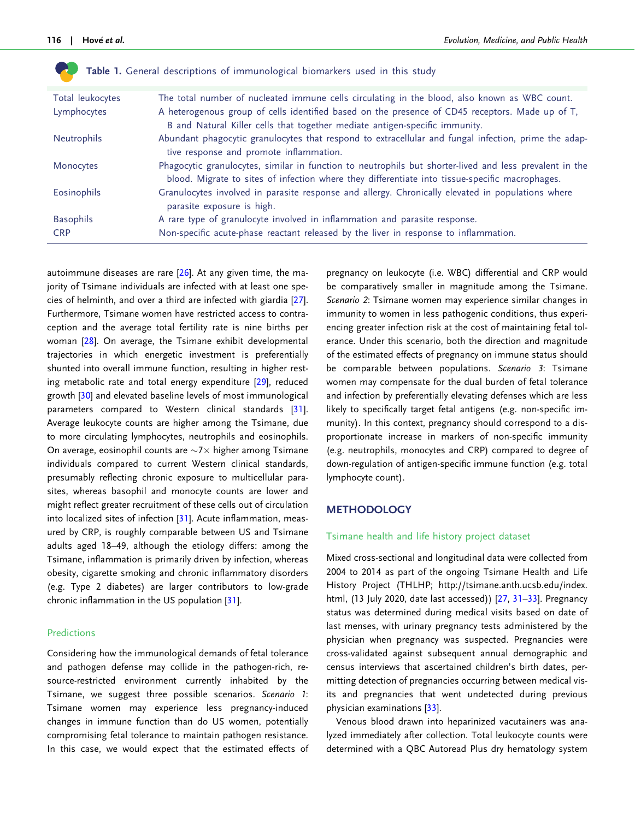<span id="page-4-0"></span>

| Total leukocytes   | The total number of nucleated immune cells circulating in the blood, also known as WBC count.                                                                                                              |
|--------------------|------------------------------------------------------------------------------------------------------------------------------------------------------------------------------------------------------------|
| Lymphocytes        | A heterogenous group of cells identified based on the presence of CD45 receptors. Made up of T,                                                                                                            |
|                    | B and Natural Killer cells that together mediate antigen-specific immunity.                                                                                                                                |
| <b>Neutrophils</b> | Abundant phagocytic granulocytes that respond to extracellular and fungal infection, prime the adap-                                                                                                       |
|                    | tive response and promote inflammation.                                                                                                                                                                    |
| Monocytes          | Phagocytic granulocytes, similar in function to neutrophils but shorter-lived and less prevalent in the<br>blood. Migrate to sites of infection where they differentiate into tissue-specific macrophages. |
| Eosinophils        | Granulocytes involved in parasite response and allergy. Chronically elevated in populations where<br>parasite exposure is high.                                                                            |
| <b>Basophils</b>   | A rare type of granulocyte involved in inflammation and parasite response.                                                                                                                                 |
| <b>CRP</b>         | Non-specific acute-phase reactant released by the liver in response to inflammation.                                                                                                                       |

Table 1. General descriptions of immunological biomarkers used in this study

autoimmune diseases are rare  $[26]$  $[26]$  $[26]$ . At any given time, the majority of Tsimane individuals are infected with at least one species of helminth, and over a third are infected with giardia [\[27\]](#page-15-0). Furthermore, Tsimane women have restricted access to contraception and the average total fertility rate is nine births per woman [\[28\]](#page-15-0). On average, the Tsimane exhibit developmental trajectories in which energetic investment is preferentially shunted into overall immune function, resulting in higher resting metabolic rate and total energy expenditure [\[29\]](#page-15-0), reduced growth [[30](#page-16-0)] and elevated baseline levels of most immunological parameters compared to Western clinical standards [\[31\]](#page-16-0). Average leukocyte counts are higher among the Tsimane, due to more circulating lymphocytes, neutrophils and eosinophils. On average, eosinophil counts are  ${\sim}7{\times}$  higher among Tsimane individuals compared to current Western clinical standards, presumably reflecting chronic exposure to multicellular parasites, whereas basophil and monocyte counts are lower and might reflect greater recruitment of these cells out of circulation into localized sites of infection [[31](#page-16-0)]. Acute inflammation, measured by CRP, is roughly comparable between US and Tsimane adults aged 18–49, although the etiology differs: among the Tsimane, inflammation is primarily driven by infection, whereas obesity, cigarette smoking and chronic inflammatory disorders (e.g. Type 2 diabetes) are larger contributors to low-grade chronic inflammation in the US population [\[31\]](#page-16-0).

#### Predictions

Considering how the immunological demands of fetal tolerance and pathogen defense may collide in the pathogen-rich, resource-restricted environment currently inhabited by the Tsimane, we suggest three possible scenarios. Scenario 1: Tsimane women may experience less pregnancy-induced changes in immune function than do US women, potentially compromising fetal tolerance to maintain pathogen resistance. In this case, we would expect that the estimated effects of pregnancy on leukocyte (i.e. WBC) differential and CRP would be comparatively smaller in magnitude among the Tsimane. Scenario 2: Tsimane women may experience similar changes in immunity to women in less pathogenic conditions, thus experiencing greater infection risk at the cost of maintaining fetal tolerance. Under this scenario, both the direction and magnitude of the estimated effects of pregnancy on immune status should be comparable between populations. Scenario 3: Tsimane women may compensate for the dual burden of fetal tolerance and infection by preferentially elevating defenses which are less likely to specifically target fetal antigens (e.g. non-specific immunity). In this context, pregnancy should correspond to a disproportionate increase in markers of non-specific immunity (e.g. neutrophils, monocytes and CRP) compared to degree of down-regulation of antigen-specific immune function (e.g. total lymphocyte count).

#### **METHODOLOGY**

#### Tsimane health and life history project dataset

Mixed cross-sectional and longitudinal data were collected from 2004 to 2014 as part of the ongoing Tsimane Health and Life History Project (THLHP; [http://tsimane.anth.ucsb.edu/index.](http://tsimane.anth.ucsb.edu/index.html) [html, \(13 July 2020, date last accessed\)](http://tsimane.anth.ucsb.edu/index.html)) [\[27,](#page-15-0) [31–33\]](#page-16-0). Pregnancy status was determined during medical visits based on date of last menses, with urinary pregnancy tests administered by the physician when pregnancy was suspected. Pregnancies were cross-validated against subsequent annual demographic and census interviews that ascertained children's birth dates, permitting detection of pregnancies occurring between medical visits and pregnancies that went undetected during previous physician examinations [[33](#page-16-0)].

Venous blood drawn into heparinized vacutainers was analyzed immediately after collection. Total leukocyte counts were determined with a QBC Autoread Plus dry hematology system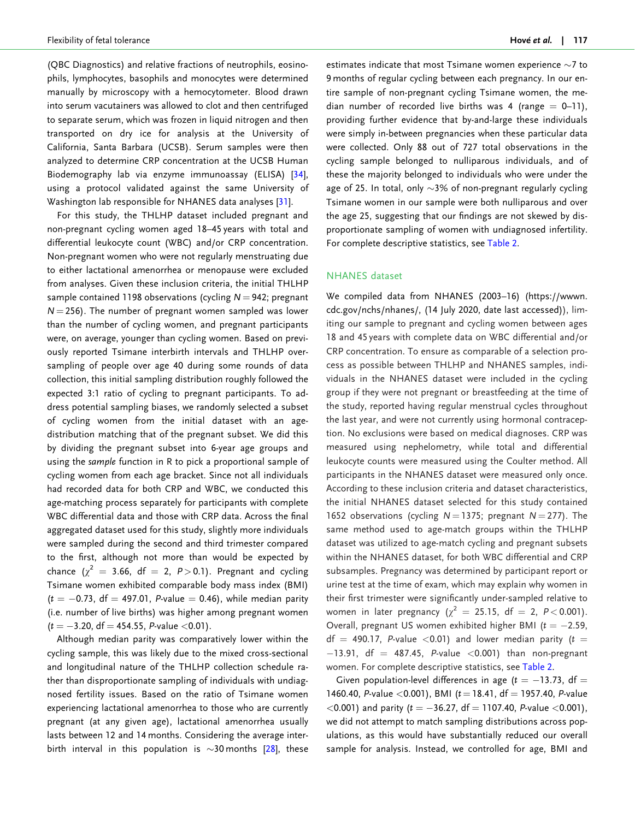<span id="page-5-0"></span>(QBC Diagnostics) and relative fractions of neutrophils, eosinophils, lymphocytes, basophils and monocytes were determined manually by microscopy with a hemocytometer. Blood drawn into serum vacutainers was allowed to clot and then centrifuged to separate serum, which was frozen in liquid nitrogen and then transported on dry ice for analysis at the University of California, Santa Barbara (UCSB). Serum samples were then analyzed to determine CRP concentration at the UCSB Human Biodemography lab via enzyme immunoassay (ELISA) [\[34\]](#page-16-0), using a protocol validated against the same University of Washington lab responsible for NHANES data analyses [[31](#page-16-0)].

For this study, the THLHP dataset included pregnant and non-pregnant cycling women aged 18–45 years with total and differential leukocyte count (WBC) and/or CRP concentration. Non-pregnant women who were not regularly menstruating due to either lactational amenorrhea or menopause were excluded from analyses. Given these inclusion criteria, the initial THLHP sample contained 1198 observations (cycling  $N = 942$ ; pregnant  $N = 256$ ). The number of pregnant women sampled was lower than the number of cycling women, and pregnant participants were, on average, younger than cycling women. Based on previously reported Tsimane interbirth intervals and THLHP oversampling of people over age 40 during some rounds of data collection, this initial sampling distribution roughly followed the expected 3:1 ratio of cycling to pregnant participants. To address potential sampling biases, we randomly selected a subset of cycling women from the initial dataset with an agedistribution matching that of the pregnant subset. We did this by dividing the pregnant subset into 6-year age groups and using the sample function in R to pick a proportional sample of cycling women from each age bracket. Since not all individuals had recorded data for both CRP and WBC, we conducted this age-matching process separately for participants with complete WBC differential data and those with CRP data. Across the final aggregated dataset used for this study, slightly more individuals were sampled during the second and third trimester compared to the first, although not more than would be expected by chance ( $\chi^2$  = 3.66, df = 2, P > 0.1). Pregnant and cycling Tsimane women exhibited comparable body mass index (BMI)  $(t = -0.73, df = 497.01, P-value = 0.46)$ , while median parity (i.e. number of live births) was higher among pregnant women  $(t = -3.20, df = 454.55, P-value < 0.01$ .

Although median parity was comparatively lower within the cycling sample, this was likely due to the mixed cross-sectional and longitudinal nature of the THLHP collection schedule rather than disproportionate sampling of individuals with undiagnosed fertility issues. Based on the ratio of Tsimane women experiencing lactational amenorrhea to those who are currently pregnant (at any given age), lactational amenorrhea usually lasts between 12 and 14 months. Considering the average interbirth interval in this population is  $\sim$ 30 months [\[28\]](#page-15-0), these

estimates indicate that most Tsimane women experience  ${\sim}7$  to 9 months of regular cycling between each pregnancy. In our entire sample of non-pregnant cycling Tsimane women, the median number of recorded live births was 4 (range  $= 0$ –11), providing further evidence that by-and-large these individuals were simply in-between pregnancies when these particular data were collected. Only 88 out of 727 total observations in the cycling sample belonged to nulliparous individuals, and of these the majority belonged to individuals who were under the age of 25. In total, only  ${\sim}3\%$  of non-pregnant regularly cycling Tsimane women in our sample were both nulliparous and over the age 25, suggesting that our findings are not skewed by disproportionate sampling of women with undiagnosed infertility. For complete descriptive statistics, see [Table 2.](#page-6-0)

#### NHANES dataset

We compiled data from NHANES (2003–16) ([https://wwwn.](https://wwwn.cdc.gov/nchs/nhanes/) [cdc.gov/nchs/nhanes/, \(14 July 2020, date last accessed\)\)](https://wwwn.cdc.gov/nchs/nhanes/), limiting our sample to pregnant and cycling women between ages 18 and 45 years with complete data on WBC differential and/or CRP concentration. To ensure as comparable of a selection process as possible between THLHP and NHANES samples, individuals in the NHANES dataset were included in the cycling group if they were not pregnant or breastfeeding at the time of the study, reported having regular menstrual cycles throughout the last year, and were not currently using hormonal contraception. No exclusions were based on medical diagnoses. CRP was measured using nephelometry, while total and differential leukocyte counts were measured using the Coulter method. All participants in the NHANES dataset were measured only once. According to these inclusion criteria and dataset characteristics, the initial NHANES dataset selected for this study contained 1652 observations (cycling  $N = 1375$ ; pregnant  $N = 277$ ). The same method used to age-match groups within the THLHP dataset was utilized to age-match cycling and pregnant subsets within the NHANES dataset, for both WBC differential and CRP subsamples. Pregnancy was determined by participant report or urine test at the time of exam, which may explain why women in their first trimester were significantly under-sampled relative to women in later pregnancy ( $\chi^2$  = 25.15, df = 2, P < 0.001). Overall, pregnant US women exhibited higher BMI ( $t = -2.59$ ,  $df = 490.17$ , P-value <0.01) and lower median parity (t =  $-13.91$ , df = 487.45, P-value <0.001) than non-pregnant women. For complete descriptive statistics, see [Table 2.](#page-6-0)

Given population-level differences in age ( $t = -13.73$ , df = 1460.40, P-value <0.001), BMI ( $t = 18.41$ , df = 1957.40, P-value  $(0.001)$  and parity (t = -36.27, df = 1107.40, P-value  $(0.001)$ , we did not attempt to match sampling distributions across populations, as this would have substantially reduced our overall sample for analysis. Instead, we controlled for age, BMI and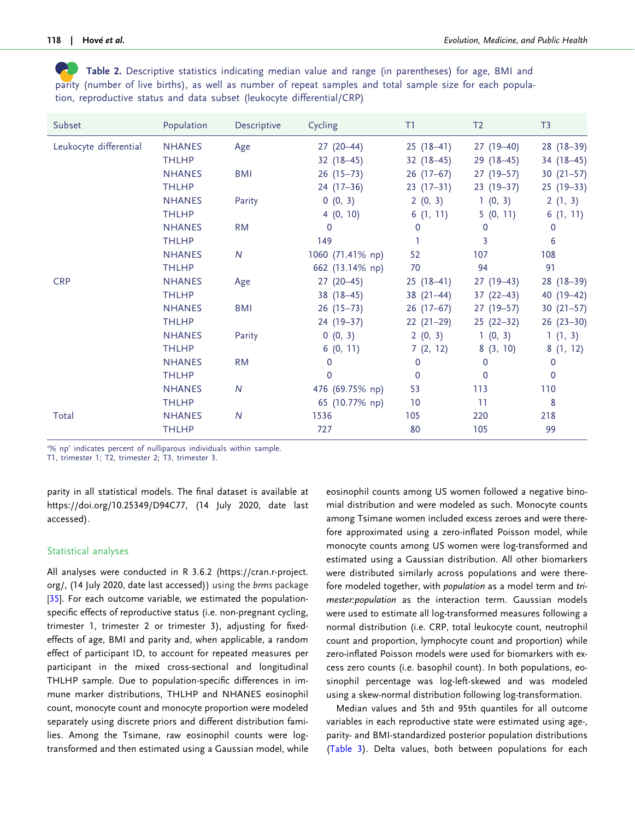<span id="page-6-0"></span>Table 2. Descriptive statistics indicating median value and range (in parentheses) for age, BMI and parity (number of live births), as well as number of repeat samples and total sample size for each population, reproductive status and data subset (leukocyte differential/CRP)

| Subset                 | Population    | Descriptive  | Cycling          | T1           | T2           | T3           |
|------------------------|---------------|--------------|------------------|--------------|--------------|--------------|
| Leukocyte differential | <b>NHANES</b> | Age          | $27(20-44)$      | $25(18-41)$  | $27(19-40)$  | $28(18-39)$  |
|                        | <b>THLHP</b>  |              | $32(18-45)$      | $32(18-45)$  | $29(18-45)$  | 34 (18-45)   |
|                        | <b>NHANES</b> | <b>BMI</b>   | $26(15-73)$      | $26(17-67)$  | $27(19-57)$  | $30(21-57)$  |
|                        | <b>THLHP</b>  |              | $24(17-36)$      | $23(17-31)$  | $23(19-37)$  | $25(19-33)$  |
|                        | <b>NHANES</b> | Parity       | 0(0, 3)          | 2(0, 3)      | 1(0, 3)      | 2(1, 3)      |
|                        | <b>THLHP</b>  |              | 4(0, 10)         | 6(1, 11)     | 5(0, 11)     | 6(1, 11)     |
|                        | <b>NHANES</b> | <b>RM</b>    | $\Omega$         | 0            | $\mathbf{0}$ | 0            |
|                        | <b>THLHP</b>  |              | 149              |              | 3            | 6            |
|                        | <b>NHANES</b> | N            | 1060 (71.41% np) | 52           | 107          | 108          |
|                        | <b>THLHP</b>  |              | 662 (13.14% np)  | 70           | 94           | 91           |
| <b>CRP</b>             | <b>NHANES</b> | Age          | $27(20-45)$      | $25(18-41)$  | $27(19-43)$  | $28(18-39)$  |
|                        | <b>THLHP</b>  |              | $38(18-45)$      | $38(21-44)$  | $37(22-43)$  | 40 (19 - 42) |
|                        | <b>NHANES</b> | <b>BMI</b>   | $26(15-73)$      | $26(17-67)$  | $27(19-57)$  | $30(21-57)$  |
|                        | <b>THLHP</b>  |              | $24(19-37)$      | $22(21-29)$  | $25(22-32)$  | $26(23-30)$  |
|                        | <b>NHANES</b> | Parity       | 0(0, 3)          | 2(0, 3)      | 1(0, 3)      | 1(1, 3)      |
|                        | <b>THLHP</b>  |              | 6(0, 11)         | 7(2, 12)     | 8(3, 10)     | 8(1, 12)     |
|                        | <b>NHANES</b> | <b>RM</b>    | 0                | 0            | $\mathbf 0$  | $\mathbf 0$  |
|                        | <b>THLHP</b>  |              | $\Omega$         | $\mathbf{0}$ | $\mathbf{0}$ | $\mathbf 0$  |
|                        | <b>NHANES</b> | N            | 476 (69.75% np)  | 53           | 113          | 110          |
|                        | <b>THLHP</b>  |              | 65 (10.77% np)   | 10           | 11           | 8            |
| Total                  | <b>NHANES</b> | $\mathsf{N}$ | 1536             | 105          | 220          | 218          |
|                        | <b>THLHP</b>  |              | 727              | 80           | 105          | 99           |

'% np' indicates percent of nulliparous individuals within sample.

T1, trimester 1; T2, trimester 2; T3, trimester 3.

parity in all statistical models. The final dataset is available at [https://doi.org/10.25349/D94C77, \(14 July 2020, date last](https://doi.org/10.25349/D94C77) [accessed\).](https://doi.org/10.25349/D94C77)

#### Statistical analyses

All analyses were conducted in R 3.6.2 ([https://cran.r-project.](https://cran.r-project.org/) [org/, \(14 July 2020, date last accessed\)\)](https://cran.r-project.org/) using the brms package [[35](#page-16-0)]. For each outcome variable, we estimated the populationspecific effects of reproductive status (i.e. non-pregnant cycling, trimester 1, trimester 2 or trimester 3), adjusting for fixedeffects of age, BMI and parity and, when applicable, a random effect of participant ID, to account for repeated measures per participant in the mixed cross-sectional and longitudinal THLHP sample. Due to population-specific differences in immune marker distributions, THLHP and NHANES eosinophil count, monocyte count and monocyte proportion were modeled separately using discrete priors and different distribution families. Among the Tsimane, raw eosinophil counts were logtransformed and then estimated using a Gaussian model, while

eosinophil counts among US women followed a negative binomial distribution and were modeled as such. Monocyte counts among Tsimane women included excess zeroes and were therefore approximated using a zero-inflated Poisson model, while monocyte counts among US women were log-transformed and estimated using a Gaussian distribution. All other biomarkers were distributed similarly across populations and were therefore modeled together, with population as a model term and trimester:population as the interaction term. Gaussian models were used to estimate all log-transformed measures following a normal distribution (i.e. CRP, total leukocyte count, neutrophil count and proportion, lymphocyte count and proportion) while zero-inflated Poisson models were used for biomarkers with excess zero counts (i.e. basophil count). In both populations, eosinophil percentage was log-left-skewed and was modeled using a skew-normal distribution following log-transformation.

Median values and 5th and 95th quantiles for all outcome variables in each reproductive state were estimated using age-, parity- and BMI-standardized posterior population distributions [\(Table 3\)](#page-7-0). Delta values, both between populations for each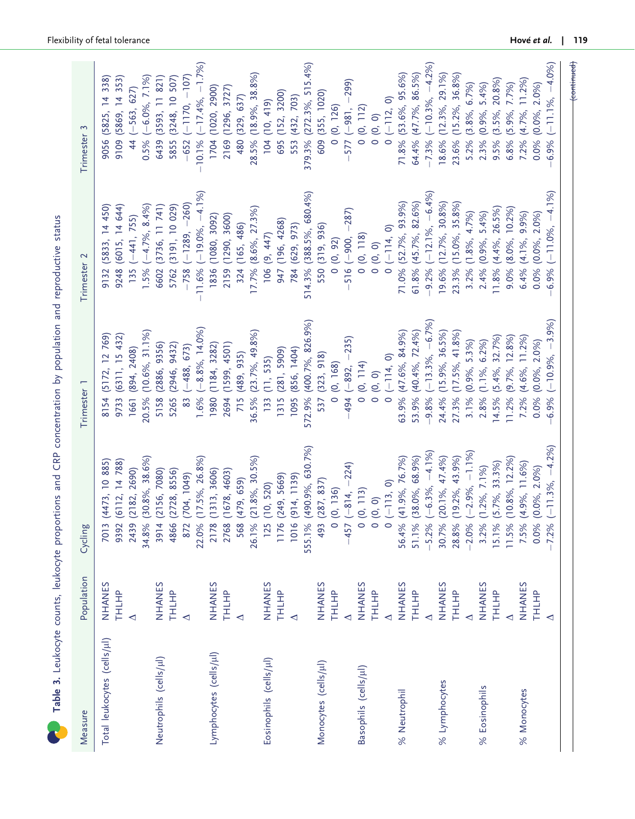<span id="page-7-0"></span>

| Measure                     | Population      | Cycling                                        | Trimester 1                                  | Trimester <sub>2</sub>                       | Trimester 3                                  |
|-----------------------------|-----------------|------------------------------------------------|----------------------------------------------|----------------------------------------------|----------------------------------------------|
| Total leukocytes (cells/µl) | NHANES<br>THLHP | (4473, 10885)<br>(6112, 14788)<br>7013<br>9392 | 8154 (5172, 12 769)<br>(6311, 15432)<br>9733 | 9132 (5833, 14 450)<br>(6015, 14644)<br>9248 | 9056 (5825, 14 338)<br>(5869, 14353)<br>9109 |
|                             | ◁               | 2182, 2690)<br>2439                            | (894, 2408)<br>1661                          | $-441, 755$<br>135                           | $-563, 627$<br>$\overline{4}$                |
|                             |                 | 30.8%, 38.6%)<br>34.8%                         | $(10.6\%, 31.1\%)$<br>20.5%                  | $-4.7%$ , 8.4%<br>1.5%                       | $-6.0%$ , 7.1%)<br>0.5%                      |
| Neutrophils (cells/µl)      | NHANES          | 2156, 7080)<br>3914                            | (2886, 9356)<br>5158                         | (3736, 11741)<br>6602                        | (3593, 11821)<br>6439                        |
|                             | THLHP           | (2728, 8556)<br>4866                           | (2946, 9432)<br>5265                         | (3191, 10029)<br>5762                        | (3248, 10507)<br>5855                        |
|                             | $\triangleleft$ | 704, 1049)<br>872                              | $-488, 673$<br>83                            | $-1289, -260$<br>$-758$                      | $(-1170, -107)$<br>$-652$                    |
|                             |                 | 17.5%, 26.8%)<br>22.0%                         | $-8.8\%$ , 14.0%)<br>1.6%                    | $(-19.0\%, -4.1\%)$<br>11.6%                 | $(-17.4\%, -1.7\%)$<br>$-10.1%$              |
| Lymphocytes (cells/µl)      | NHANES          | [1313, 3606]<br>2178                           | 1184, 3282)<br>1980                          | (1080, 3092)<br>1836                         | (1020, 2900)<br>1704                         |
|                             | THLHP           | 1678, 4603)<br>2768                            | 1599, 4501)<br>2694                          | (1290, 3600)<br>2159                         | (1296, 3727)<br>2169                         |
|                             | ◁               | (479, 659)<br>568                              | (489, 935)<br>715                            | (165, 486)<br>324                            | (329, 637)<br>480                            |
|                             |                 | 21.8%, 30.5%)<br>26.1%                         | $(23.7\%, 49.8\%)$<br>36.5%                  | $(8.6\%, 27.3\%)$<br>17.7%                   | $(18.9\%, 38.8\%)$<br>28.5%                  |
| Eosinophils (cells/µl)      | NHANES          | (10, 520)<br><b>125</b>                        | (11, 535)<br>133                             | (9, 447)<br>106                              | (10, 419)<br>104                             |
|                             | THLHP           | 249, 5669)<br>1176                             | (281, 5909)<br>1315                          | (196, 4268)<br>947                           | (152, 3200)<br>695                           |
|                             | ⊲               | 914, 1139)<br>1016                             | (856, 1404)<br>1095                          | (629, 973)<br>784                            | (432, 703)<br>553                            |
|                             |                 | 490.9%, 630.7%)<br>555.1%                      | 572.9% (400.7%, 826.9%)                      | $(388.5\%, 680.4\%)$<br>514.3%               | $(272.3\%, 515.4\%)$<br>379.3%               |
| Monocytes (cells/µl)        | NHANES          | 287, 837)<br>493                               | (323, 918)<br>537                            | (319, 936)<br>550                            | (355, 1020)<br>609                           |
|                             | THLHP           | (0, 136)<br>$\circ$                            | (0, 168)<br>$\circ$                          | (0, 92)<br>$\circ$                           | (0, 126)<br>$\circ$                          |
|                             |                 | $-224$<br>$-814,$<br>$-457$                    | $-235$<br>$-494 (-892,$                      | $-287$<br>$(-900,$<br>$-516$                 | $-299$<br>$577 (-981,$                       |
| Basophils (cells/µl)        | NHANES          | (0, 113)<br>$\circ$                            | 0(0, 114)                                    | (0, 118)<br>$\circ$                          | 0(0, 112)                                    |
|                             | THLHP           | 0, 0<br>$\circ$                                | 0(0, 0)                                      | (0, 0)<br>$\circ$                            | (0, 0)<br>$\circ$                            |
|                             |                 | $-113, 0)$<br>$\circ$                          | $(-114, 0)$<br>$\overline{\circ}$            | $(-114, 0)$<br>$\circ$                       | $(-112, 0)$<br>$\circ$                       |
| % Neutrophil                | NHANES          | 41.9%, 76.7%)<br>56.4%                         | $(47.6\% , 84.9\%)$<br>63.9%                 | $(52.7\% , 93.9\%)$<br>71.0%                 | $(53.6\%, 95.6\%)$<br>71.8%                  |
|                             | THLHP           | 38.0%, 68.9%)<br>51.1%                         | $(40.4\%, 72.4\%)$<br>53.9%                  | $(45.7\%, 82.6\%)$<br>61.8%                  | $(47.7\%, 86.5\%)$<br>64.4%                  |
|                             |                 | $-6.3\%$ , $-4.1\%$<br>$-5.2%$                 | $-13.3\%$ , $-6.7\%$<br>$-9.8%$              | $(-12.1\%, -6.4\%)$<br>$-9.2%$               | $-7.3\%$ (-10.3%, -4.2%)                     |
| % Lymphocytes               | NHANES          | $(20.1\%, 47.4\%)$<br>30.7%                    | $(15.9\%, 36.5\%)$<br>24.4%                  | $(12.7\%, 30.8\%)$<br>19.6%                  | $(12.3\%, 29.1\%)$<br>18.6%                  |
|                             | THLHP           | 19.2%, 43.9%)<br>28.8%                         | $(17.5\%, 41.8\%)$<br>27.3%                  | $(15.0\%, 35.8\%)$<br>23.3%                  | $(15.2\%, 36.8\%)$<br>23.6%                  |
|                             |                 | $-2.9%,-1.1%$<br>$-2.0%$                       | $(0.9\%, 5.3\%)$<br>3.1%                     | $(1.8\%, 4.7\%)$<br>3.2%                     | $(3.8\%, 6.7\%)$<br>5.2%                     |
| % Eosinophils               | NHANES          | 1.2%, 7.1%)<br>3.2%                            | $(1.1\%, 6.2\%)$<br>2.8%                     | $(0.9\%, 5.4\%)$<br>2.4%                     | 2.3% (0.9%, 5.4%)                            |
|                             | THLHP           | 5.7%, 33.3%)<br>15.1%                          | $(5.4\%, 32.7\%)$<br>14.5%                   | $(4.4\%, 26.5\%)$<br>11.8%                   | 9.5% (3.5%, 20.8%)                           |
|                             |                 | $(10.8\%, 12.2\%)$<br>11.5%                    | $11.2\%$ (9.7%, 12.8%)                       | $(8.0\% , 10.2\%)$<br>9.0%                   | 6.8% (5.9%, 7.7%)                            |
| % Monocytes                 | NHANES          | 4.9%, 11.6%)<br>7.5%                           | 7.2% (4.6%, 11.2%)                           | $(4.1\%, 9.9\%)$<br>6.4%                     | 7.2% (4.7%, 11.2%)                           |
|                             | THLHP           | $0.0\%$ , $2.0\%$<br>0.0%                      | $(0.0\%, 2.0\%)$<br>0.0%                     | $0.0\%$ $(0.0\%, 2.0\%)$                     | 0.0% (0.0%, 2.0%)                            |
|                             | ◁               | $-11.3\%$ , $-4.2\%$<br>$-7.2%$                | $(-10.9\%, -3.9\%)$<br>6.9%                  | $(-11.0\%, -4.1\%)$<br>6.9%                  | $(-11.1\%, -4.0\%)$<br>6.9%                  |
|                             |                 |                                                |                                              |                                              |                                              |

Table 3. Leukocyte counts, leukocyte proportions and CRP concentration by population and reproductive status Table 3. Leukocyte counts, leukocyte proportions and CRP concentration by population and reproductive status

Đ

(continued)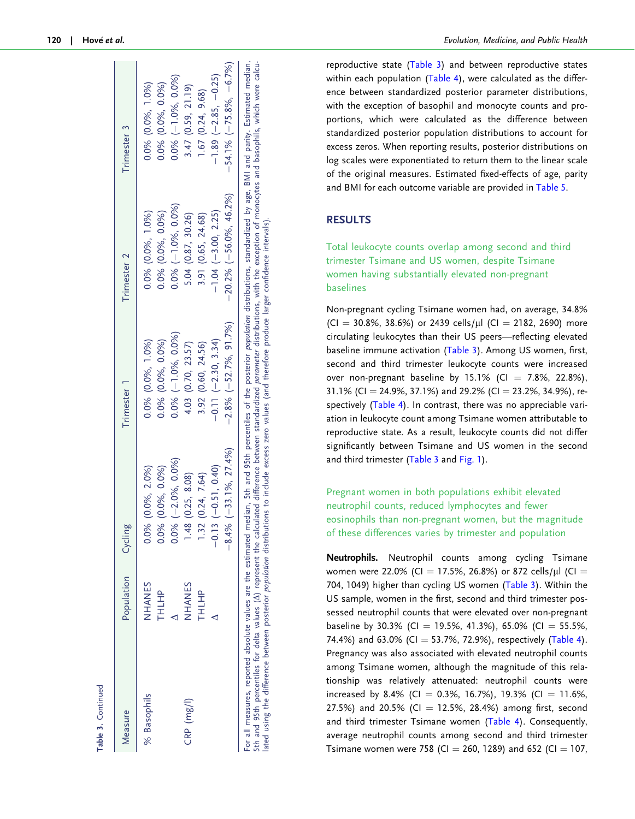| Measure      | Population      | Cycling                                                   | Trimester 1                                               | Trimester 2                                               | Trimester 3                                             |
|--------------|-----------------|-----------------------------------------------------------|-----------------------------------------------------------|-----------------------------------------------------------|---------------------------------------------------------|
| % Basophils  | NHANES<br>THLHP | $0.0\%$ $(0.0\%$ , $0.0\%$ )<br>$0.0\%$ $(0.0\% , 2.0\%)$ | $0.0\%$ $(0.0\%$ , $1.0\%$<br>$0.0\%$ $(0.0\%$ , $0.0\%)$ | $0.0\%$ $(0.0\%$ , $1.0\%$<br>$0.0\%$ $(0.0\%$ , $0.0\%)$ | $0.0\%$ $(0.0\% , 0.0\%)$<br>$0.0\%$ $(0.0\%$ , $1.0\%$ |
|              |                 | $0.0\%$ ( $-2.0\%$ , $0.0\%$ )                            | $0.0\%$ ( $-1.0\%$ , $0.0\%$ )                            | $0.0\%$ (-1.0%, 0.0%)                                     | $0.0\%$ (-1.0%, 0.0%)                                   |
| $CRP$ (mg/l) | NHANES          | $1.48$ $(0.25, 8.08)$                                     | 4.03 (0.70, 23.57)                                        | 5.04 (0.87, 30.26)                                        | 3.47(0.59, 21.19)                                       |
|              | THLHP           | 1.32(0.24, 7.64)                                          | 3.92 (0.60, 24.56)                                        | 3.91(0.65, 24.68)                                         | 1.67(0.24, 9.68)                                        |
|              |                 | $-0.13$ $(-0.51, 0.40)$                                   | $-0.11 (-2.30, 3.34)$                                     | $-1.04$ $(-3.00, 2.25)$                                   | $-1.89$ $(-2.85, -0.25)$                                |
|              |                 | $-8.4\%$ (-33.1%, 27.4%)                                  | $-2.8\%$ ( $-52.7\%$ , 91.7%)                             | $-20.2\%$ ( $-56.0\%$ , 46.2%)                            | $-54.1\%$ ( $-75.8\%$ , $-6.7\%$ )                      |

Table 3. Continued

**Continued** 

120 | Hove et al. Evolution, Medicine, and Public Health

reproductive state [\(Table 3\)](#page-7-0) and between reproductive states within each population [\(Table 4\)](#page-9-0), were calculated as the difference between standardized posterior parameter distributions, with the exception of basophil and monocyte counts and proportions, which were calculated as the difference between standardized posterior population distributions to account for excess zeros. When reporting results, posterior distributions on log scales were exponentiated to return them to the linear scale of the original measures. Estimated fixed-effects of age, parity and BMI for each outcome variable are provided in [Table 5.](#page-10-0)

#### RESULTS

Total leukocyte counts overlap among second and third trimester Tsimane and US women, despite Tsimane women having substantially elevated non-pregnant baselines

Non-pregnant cycling Tsimane women had, on average, 34.8%  $|CI = 30.8\%$ , 38.6%) or 2439 cells/µl  $|CI = 2182$ , 2690) more circulating leukocytes than their US peers—reflecting elevated baseline immune activation [\(Table 3](#page-7-0)). Among US women, first, second and third trimester leukocyte counts were increased over non-pregnant baseline by 15.1% (CI =  $7.8\%$ , 22.8%), 31.1% (CI = 24.9%, 37.1%) and 29.2% (CI = 23.2%, 34.9%), re-spectively ([Table 4\)](#page-9-0). In contrast, there was no appreciable variation in leukocyte count among Tsimane women attributable to reproductive state. As a result, leukocyte counts did not differ significantly between Tsimane and US women in the second and third trimester ([Table 3](#page-7-0) and [Fig. 1\)](#page-11-0).

Pregnant women in both populations exhibit elevated neutrophil counts, reduced lymphocytes and fewer eosinophils than non-pregnant women, but the magnitude of these differences varies by trimester and population

Neutrophils. Neutrophil counts among cycling Tsimane women were 22.0% (CI = 17.5%, 26.8%) or 872 cells/ $\mu$ l (CI = 704, 1049) higher than cycling US women ([Table 3\)](#page-7-0). Within the US sample, women in the first, second and third trimester possessed neutrophil counts that were elevated over non-pregnant baseline by 30.3% (CI = 19.5%, 41.3%), 65.0% (CI = 55.5%, 74.4%) and 63.0% (CI = 53.7%, 72.9%), respectively ([Table 4](#page-9-0)). Pregnancy was also associated with elevated neutrophil counts among Tsimane women, although the magnitude of this relationship was relatively attenuated: neutrophil counts were increased by 8.4% (CI = 0.3%, 16.7%), 19.3% (CI = 11.6%, 27.5%) and 20.5% (CI = 12.5%, 28.4%) among first, second and third trimester Tsimane women ([Table 4](#page-9-0)). Consequently, average neutrophil counts among second and third trimester Tsimane women were 758 (CI = 260, 1289) and 652 (CI = 107,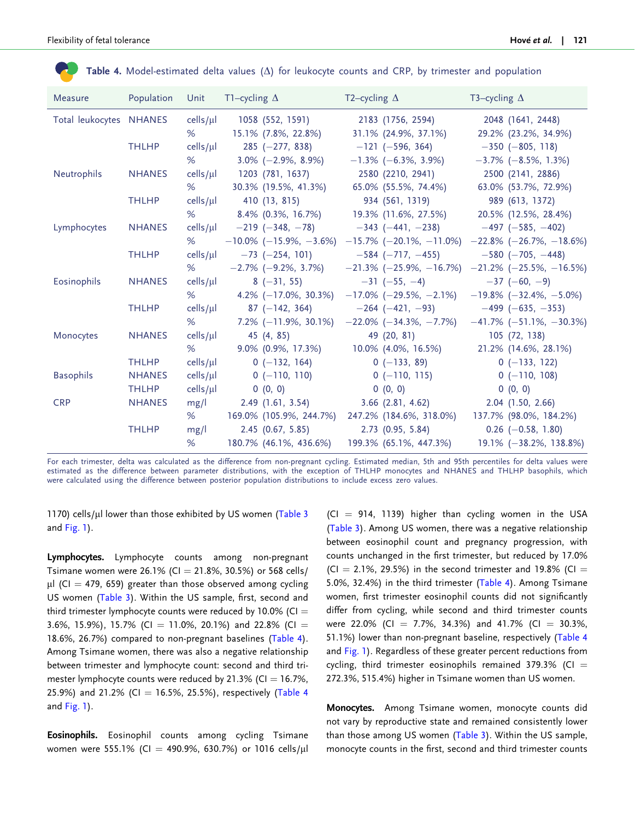<span id="page-9-0"></span>

| <b>Measure</b>          | Population    | Unit                                      | T1-cycling $\Delta$            | T2-cycling $\Delta$                                                                   | T3-cycling $\Delta$       |
|-------------------------|---------------|-------------------------------------------|--------------------------------|---------------------------------------------------------------------------------------|---------------------------|
| Total leukocytes NHANES |               |                                           |                                | cells/µl 1058 (552, 1591) 2183 (1756, 2594)                                           | 2048 (1641, 2448)         |
|                         |               | $\%$                                      | 15.1% (7.8%, 22.8%)            | 31.1% (24.9%, 37.1%)                                                                  | 29.2% (23.2%, 34.9%)      |
|                         | THLHP         |                                           | cells/ $\mu$ l 285 (-277, 838) | $-121$ ( $-596, 364$ )                                                                | $-350$ ( $-805, 118$ )    |
|                         |               | %                                         | $3.0\%$ (-2.9%, 8.9%)          | $-1.3\%$ (-6.3%, 3.9%)                                                                | $-3.7\%$ (-8.5%, 1.3%)    |
| <b>Neutrophils</b>      | <b>NHANES</b> | cells/µl                                  | 1203 (781, 1637)               | 2580 (2210, 2941)                                                                     | 2500 (2141, 2886)         |
|                         |               | $\%$                                      | 30.3% (19.5%, 41.3%)           | 65.0% (55.5%, 74.4%)                                                                  | 63.0% (53.7%, 72.9%)      |
|                         | <b>THLHP</b>  |                                           | cells/ $\mu$ l 410 (13, 815)   | 934 (561, 1319)                                                                       | 989 (613, 1372)           |
|                         |               | %                                         | 8.4% (0.3%, 16.7%)             | 19.3% (11.6%, 27.5%)                                                                  | 20.5% (12.5%, 28.4%)      |
| Lymphocytes             | <b>NHANES</b> | $\mathsf{cells}/\mathsf{\mu}{\mathsf{I}}$ |                                | $-219$ $(-348, -78)$ $-343$ $(-441, -238)$ $-497$ $(-585, -402)$                      |                           |
|                         |               | $\%$                                      |                                | $-10.0\%$ (-15.9%, -3.6%) -15.7% (-20.1%, -11.0%) -22.8% (-26.7%, -18.6%)             |                           |
|                         | <b>THLHP</b>  |                                           |                                | cells/ $\mu$ l -73 (-254, 101) -584 (-717, -455) -580 (-705, -448)                    |                           |
|                         |               | %                                         |                                | $-2.7\%$ (-9.2%, 3.7%) $-21.3\%$ (-25.9%, -16.7%) -21.2% (-25.5%, -16.5%)             |                           |
| Eosinophils             | <b>NHANES</b> |                                           |                                | cells/µl $8(-31, 55)$ $-31(-55, -4)$ $-37(-60, -9)$                                   |                           |
|                         |               | $\%$                                      | $4.2\%$ (-17.0%, 30.3%)        | $-17.0\%$ (-29.5%, -2.1%) -19.8% (-32.4%, -5.0%)                                      |                           |
|                         | <b>THLHP</b>  | cells/µl                                  |                                | $87$ (-142, 364) $-264$ (-421, -93) $-499$ (-635, -353)                               |                           |
|                         |               | $\%$                                      |                                | 7.2% $(-11.9\%, 30.1\%)$ $-22.0\%$ $(-34.3\%, -7.7\%)$ $-41.7\%$ $(-51.1\%, -30.3\%)$ |                           |
| Monocytes               | <b>NHANES</b> | $\mathsf{cells}/\mathsf{\mu}{\mathsf{I}}$ | 45 (4, 85)                     | 49 (20, 81) 105 (72, 138)                                                             |                           |
|                         |               | $\%$                                      | 9.0% (0.9%, 17.3%)             | 10.0% (4.0%, 16.5%)                                                                   | 21.2% (14.6%, 28.1%)      |
|                         | THLHP         | cells/µl                                  | $0$ (-132, 164)                | $0(-133, 89)$                                                                         | $0$ (-133, 122)           |
| <b>Basophils</b>        | <b>NHANES</b> | cells/µl                                  | $0$ (-110, 110)                | $0$ ( $-110, 115$ )                                                                   | $0$ (-110, 108)           |
|                         | <b>THLHP</b>  | cells/µl                                  | 0(0, 0)                        | 0(0, 0)                                                                               | 0(0, 0)                   |
| <b>CRP</b>              | <b>NHANES</b> | mg/l                                      | 2.49 (1.61, 3.54)              | $3.66$ $(2.81, 4.62)$                                                                 | $2.04$ (1.50, 2.66)       |
|                         |               | $\%$                                      |                                | 169.0% (105.9%, 244.7%) 247.2% (184.6%, 318.0%)                                       | 137.7% (98.0%, 184.2%)    |
|                         | <b>THLHP</b>  | mg/l                                      | $2.45$ (0.67, 5.85)            | $2.73$ (0.95, 5.84)                                                                   | $0.26$ (-0.58, 1.80)      |
|                         |               | $\%$                                      | 180.7% (46.1%, 436.6%)         | 199.3% (65.1%, 447.3%)                                                                | $19.1\%$ (-38.2%, 138.8%) |

|  |  |  | <b>Table 4.</b> Model-estimated delta values ( $\Delta$ ) for leukocyte counts and CRP, by trimester and population |  |  |  |  |  |  |  |  |  |  |  |  |  |  |  |
|--|--|--|---------------------------------------------------------------------------------------------------------------------|--|--|--|--|--|--|--|--|--|--|--|--|--|--|--|
|--|--|--|---------------------------------------------------------------------------------------------------------------------|--|--|--|--|--|--|--|--|--|--|--|--|--|--|--|

For each trimester, delta was calculated as the difference from non-pregnant cycling. Estimated median, 5th and 95th percentiles for delta values were estimated as the difference between parameter distributions, with the exception of THLHP monocytes and NHANES and THLHP basophils, which were calculated using the difference between posterior population distributions to include excess zero values.

1170) cells/ $\mu$ l lower than those exhibited by US women ([Table 3](#page-7-0) and [Fig. 1](#page-11-0)).

Lymphocytes. Lymphocyte counts among non-pregnant Tsimane women were 26.1% (CI = 21.8%, 30.5%) or 568 cells/  $\mu$  (CI = 479, 659) greater than those observed among cycling US women [\(Table 3\)](#page-7-0). Within the US sample, first, second and third trimester lymphocyte counts were reduced by 10.0% (CI  $=$ 3.6%, 15.9%), 15.7% (CI = 11.0%, 20.1%) and 22.8% (CI = 18.6%, 26.7%) compared to non-pregnant baselines (Table 4). Among Tsimane women, there was also a negative relationship between trimester and lymphocyte count: second and third trimester lymphocyte counts were reduced by 21.3% (CI  $=$  16.7%, 25.9%) and 21.2% (CI = 16.5%, 25.5%), respectively (Table 4 and [Fig. 1](#page-11-0)).

Eosinophils. Eosinophil counts among cycling Tsimane women were 555.1% (CI = 490.9%, 630.7%) or 1016 cells/ $\mu$ l

 $(Cl = 914, 1139)$  higher than cycling women in the USA [\(Table 3](#page-7-0)). Among US women, there was a negative relationship between eosinophil count and pregnancy progression, with counts unchanged in the first trimester, but reduced by 17.0%  $|CI = 2.1\%$ , 29.5%) in the second trimester and 19.8% (CI = 5.0%, 32.4%) in the third trimester (Table 4). Among Tsimane women, first trimester eosinophil counts did not significantly differ from cycling, while second and third trimester counts were 22.0% (CI = 7.7%, 34.3%) and 41.7% (CI = 30.3%, 51.1%) lower than non-pregnant baseline, respectively (Table 4 and [Fig. 1\)](#page-11-0). Regardless of these greater percent reductions from cycling, third trimester eosinophils remained 379.3% (CI  $=$ 272.3%, 515.4%) higher in Tsimane women than US women.

Monocytes. Among Tsimane women, monocyte counts did not vary by reproductive state and remained consistently lower than those among US women ([Table 3\)](#page-7-0). Within the US sample, monocyte counts in the first, second and third trimester counts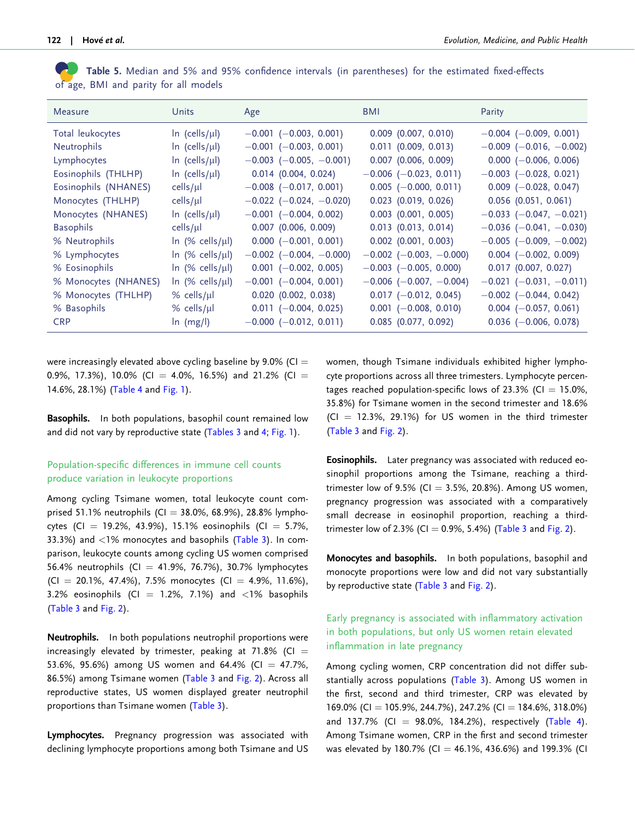<span id="page-10-0"></span>Table 5. Median and 5% and 95% confidence intervals (in parentheses) for the estimated fixed-effects of age, BMI and parity for all models

| <b>Units</b>                                                                                                                                                                                                                                                                                                                                                             | Age                                                                                                                                                                                                                                                                                                                                                                 | <b>BMI</b>                                                                                                                                                                                                                                                                                                                                                                    | Parity                                                                                                                                                                                                                                                                                                                                                                                                  |
|--------------------------------------------------------------------------------------------------------------------------------------------------------------------------------------------------------------------------------------------------------------------------------------------------------------------------------------------------------------------------|---------------------------------------------------------------------------------------------------------------------------------------------------------------------------------------------------------------------------------------------------------------------------------------------------------------------------------------------------------------------|-------------------------------------------------------------------------------------------------------------------------------------------------------------------------------------------------------------------------------------------------------------------------------------------------------------------------------------------------------------------------------|---------------------------------------------------------------------------------------------------------------------------------------------------------------------------------------------------------------------------------------------------------------------------------------------------------------------------------------------------------------------------------------------------------|
| $\ln$ (cells/ $\mu$ l)<br>$\ln$ (cells/ $\mu$ l)<br>$\ln$ (cells/ $\mu$ l)<br>$\ln$ (cells/ $\mu$ l)<br>$\mathsf{cells}/\mathsf{\mu}\mathsf{l}$<br>$\mathsf{cells}/\mathsf{\mu}\mathsf{l}$<br>$\ln$ (cells/µl)<br>$\text{cells}/\mu l$<br>In $(%$ cells/ $\mu$ l)<br>In $(%$ cells/ $\mu$ l)<br>In $(%$ cells/ $\mu$ l)<br>In $(%$ cells/ $\mu$ l)<br>$%$ cells/ $\mu$ l | $-0.001$ (-0.003, 0.001)<br>$-0.001$ (-0.003, 0.001)<br>$-0.003$ (-0.005, -0.001)<br>$0.014$ (0.004, 0.024)<br>$-0.008$ (-0.017, 0.001)<br>$-0.022$ (-0.024, -0.020)<br>$-0.001$ (-0.004, 0.002)<br>$0.007$ (0.006, 0.009)<br>$0.000$ (-0.001, 0.001)<br>$-0.002$ (-0.004, -0.000)<br>$0.001$ (-0.002, 0.005)<br>$-0.001$ (-0.004, 0.001)<br>$0.020$ (0.002, 0.038) | $0.009$ $(0.007, 0.010)$<br>$0.011$ (0.009, 0.013)<br>$0.007$ (0.006, 0.009)<br>$-0.006$ ( $-0.023$ , 0.011)<br>$0.005$ (-0.000, 0.011)<br>$0.023$ (0.019, 0.026)<br>$0.003$ $(0.001, 0.005)$<br>$0.013$ $(0.013, 0.014)$<br>$0.002$ $(0.001, 0.003)$<br>$-0.002$ (-0.003, -0.000)<br>$-0.003$ (-0.005, 0.000)<br>$-0.006$ ( $-0.007$ , $-0.004$ )<br>$0.017$ (-0.012, 0.045) | $-0.004$ (-0.009, 0.001)<br>$-0.009$ (-0.016, -0.002)<br>$0.000$ (-0.006, 0.006)<br>$-0.003$ $(-0.028, 0.021)$<br>$0.009$ (-0.028, 0.047)<br>$0.056$ (0.051, 0.061)<br>$-0.033$ (-0.047, -0.021)<br>$-0.036$ (-0.041, -0.030)<br>$-0.005$ (-0.009, -0.002)<br>$0.004$ (-0.002, 0.009)<br>$0.017$ $(0.007, 0.027)$<br>$-0.021$ $(-0.031, -0.011)$<br>$-0.002$ (-0.044, 0.042)<br>$0.004$ (-0.057, 0.061) |
| $\ln$ (mg/l)                                                                                                                                                                                                                                                                                                                                                             | $-0.000$ ( $-0.012$ , 0.011)                                                                                                                                                                                                                                                                                                                                        | $0.085$ (0.077, 0.092)                                                                                                                                                                                                                                                                                                                                                        | $0.036$ (-0.006, 0.078)                                                                                                                                                                                                                                                                                                                                                                                 |
|                                                                                                                                                                                                                                                                                                                                                                          | $%$ cells/ $\mu$ l                                                                                                                                                                                                                                                                                                                                                  | $0.011$ (-0.004, 0.025)                                                                                                                                                                                                                                                                                                                                                       | $0.001$ (-0.008, 0.010)                                                                                                                                                                                                                                                                                                                                                                                 |

were increasingly elevated above cycling baseline by 9.0% (CI  $=$ 0.9%, 17.3%), 10.0% (CI = 4.0%, 16.5%) and 21.2% (CI = 14.6%, 28.1%) ([Table 4](#page-9-0) and [Fig. 1\)](#page-11-0).

Basophils. In both populations, basophil count remained low and did not vary by reproductive state ([Tables 3](#page-7-0) and [4](#page-9-0); [Fig. 1\)](#page-11-0).

#### Population-specific differences in immune cell counts produce variation in leukocyte proportions

Among cycling Tsimane women, total leukocyte count comprised 51.1% neutrophils (CI = 38.0%, 68.9%), 28.8% lymphocytes (CI = 19.2%, 43.9%), 15.1% eosinophils (CI = 5.7%, 33.3%) and  $\langle$ 1% monocytes and basophils ([Table 3](#page-7-0)). In comparison, leukocyte counts among cycling US women comprised 56.4% neutrophils (CI = 41.9%, 76.7%), 30.7% lymphocytes  $|CI| = 20.1\%, 47.4\%$ , 7.5% monocytes  $|CI| = 4.9\%, 11.6\%$ , 3.2% eosinophils (CI = 1.2%, 7.1%) and  $\langle$ 1% basophils ([Table 3](#page-7-0) and [Fig. 2\)](#page-12-0).

Neutrophils. In both populations neutrophil proportions were increasingly elevated by trimester, peaking at 71.8% (CI  $=$ 53.6%, 95.6%) among US women and 64.4% (CI = 47.7%, 86.5%) among Tsimane women ([Table 3](#page-7-0) and [Fig. 2](#page-12-0)). Across all reproductive states, US women displayed greater neutrophil proportions than Tsimane women ([Table 3](#page-7-0)).

Lymphocytes. Pregnancy progression was associated with declining lymphocyte proportions among both Tsimane and US women, though Tsimane individuals exhibited higher lymphocyte proportions across all three trimesters. Lymphocyte percentages reached population-specific lows of 23.3% (CI = 15.0%, 35.8%) for Tsimane women in the second trimester and 18.6%  $(Cl = 12.3\%, 29.1\%)$  for US women in the third trimester [\(Table 3](#page-7-0) and [Fig. 2](#page-12-0)).

Eosinophils. Later pregnancy was associated with reduced eosinophil proportions among the Tsimane, reaching a thirdtrimester low of 9.5% (CI  $=$  3.5%, 20.8%). Among US women, pregnancy progression was associated with a comparatively small decrease in eosinophil proportion, reaching a third-trimester low of 2.3% (CI = 0.9%, 5.4%) ([Table 3](#page-7-0) and [Fig. 2\)](#page-12-0).

Monocytes and basophils. In both populations, basophil and monocyte proportions were low and did not vary substantially by reproductive state [\(Table 3](#page-7-0) and [Fig. 2](#page-12-0)).

#### Early pregnancy is associated with inflammatory activation in both populations, but only US women retain elevated inflammation in late pregnancy

Among cycling women, CRP concentration did not differ substantially across populations [\(Table 3](#page-7-0)). Among US women in the first, second and third trimester, CRP was elevated by 169.0% (CI = 105.9%, 244.7%), 247.2% (CI = 184.6%, 318.0%) and 137.7% (CI = 98.0%, 184.2%), respectively [\(Table 4](#page-9-0)). Among Tsimane women, CRP in the first and second trimester was elevated by 180.7% (CI = 46.1%, 436.6%) and 199.3% (CI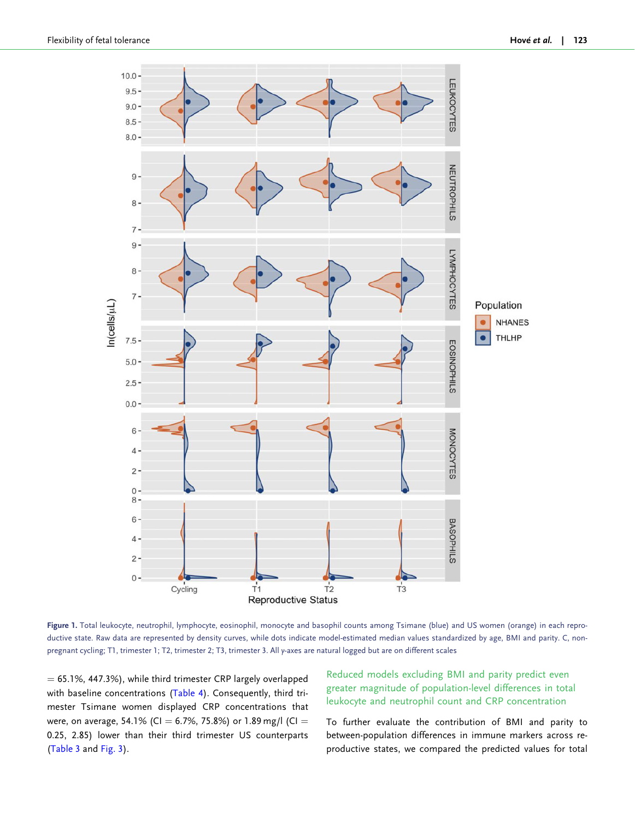<span id="page-11-0"></span>

Figure 1. Total leukocyte, neutrophil, lymphocyte, eosinophil, monocyte and basophil counts among Tsimane (blue) and US women (orange) in each reproductive state. Raw data are represented by density curves, while dots indicate model-estimated median values standardized by age, BMI and parity. C, nonpregnant cycling; T1, trimester 1; T2, trimester 2; T3, trimester 3. All y-axes are natural logged but are on different scales

 $= 65.1\%$ , 447.3%), while third trimester CRP largely overlapped with baseline concentrations ([Table 4](#page-9-0)). Consequently, third trimester Tsimane women displayed CRP concentrations that were, on average, 54.1% (CI = 6.7%, 75.8%) or 1.89 mg/l (CI = 0.25, 2.85) lower than their third trimester US counterparts ([Table 3](#page-7-0) and [Fig. 3\)](#page-13-0).

#### Reduced models excluding BMI and parity predict even greater magnitude of population-level differences in total leukocyte and neutrophil count and CRP concentration

To further evaluate the contribution of BMI and parity to between-population differences in immune markers across reproductive states, we compared the predicted values for total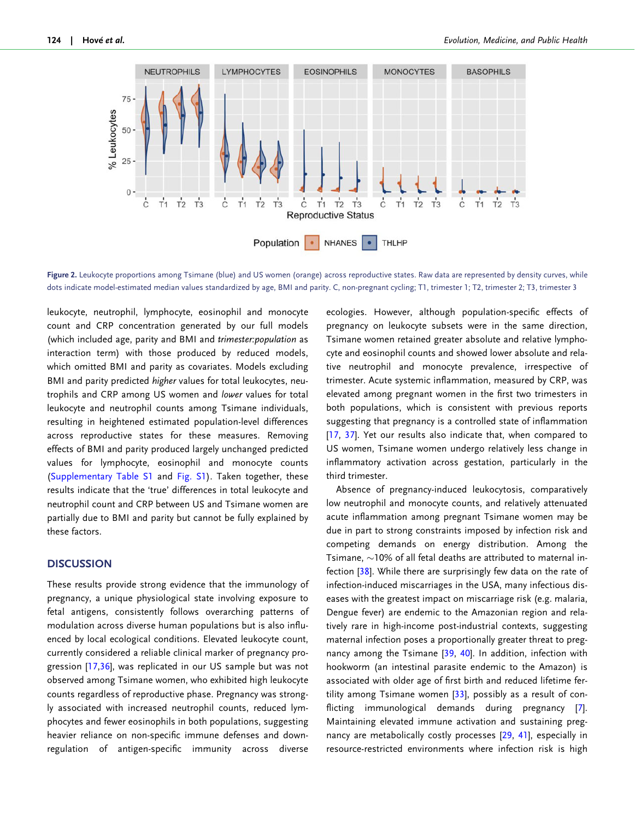<span id="page-12-0"></span>

Figure 2. Leukocyte proportions among Tsimane (blue) and US women (orange) across reproductive states. Raw data are represented by density curves, while dots indicate model-estimated median values standardized by age, BMI and parity. C, non-pregnant cycling; T1, trimester 1; T2, trimester 2; T3, trimester 3

leukocyte, neutrophil, lymphocyte, eosinophil and monocyte count and CRP concentration generated by our full models (which included age, parity and BMI and trimester:population as interaction term) with those produced by reduced models, which omitted BMI and parity as covariates. Models excluding BMI and parity predicted higher values for total leukocytes, neutrophils and CRP among US women and lower values for total leukocyte and neutrophil counts among Tsimane individuals, resulting in heightened estimated population-level differences across reproductive states for these measures. Removing effects of BMI and parity produced largely unchanged predicted values for lymphocyte, eosinophil and monocyte counts ([Supplementary Table S1](https://academic.oup.com/emph/article-lookup/doi/10.1093/emph/eoaa022#supplementary-data) and [Fig. S1](https://academic.oup.com/emph/article-lookup/doi/10.1093/emph/eoaa022#supplementary-data)). Taken together, these results indicate that the 'true' differences in total leukocyte and neutrophil count and CRP between US and Tsimane women are partially due to BMI and parity but cannot be fully explained by these factors.

#### **DISCUSSION**

These results provide strong evidence that the immunology of pregnancy, a unique physiological state involving exposure to fetal antigens, consistently follows overarching patterns of modulation across diverse human populations but is also influenced by local ecological conditions. Elevated leukocyte count, currently considered a reliable clinical marker of pregnancy pro-gression [[17](#page-15-0),[36](#page-16-0)], was replicated in our US sample but was not observed among Tsimane women, who exhibited high leukocyte counts regardless of reproductive phase. Pregnancy was strongly associated with increased neutrophil counts, reduced lymphocytes and fewer eosinophils in both populations, suggesting heavier reliance on non-specific immune defenses and downregulation of antigen-specific immunity across diverse

ecologies. However, although population-specific effects of pregnancy on leukocyte subsets were in the same direction, Tsimane women retained greater absolute and relative lymphocyte and eosinophil counts and showed lower absolute and relative neutrophil and monocyte prevalence, irrespective of trimester. Acute systemic inflammation, measured by CRP, was elevated among pregnant women in the first two trimesters in both populations, which is consistent with previous reports suggesting that pregnancy is a controlled state of inflammation [\[17,](#page-15-0) [37](#page-16-0)]. Yet our results also indicate that, when compared to US women, Tsimane women undergo relatively less change in inflammatory activation across gestation, particularly in the third trimester.

Absence of pregnancy-induced leukocytosis, comparatively low neutrophil and monocyte counts, and relatively attenuated acute inflammation among pregnant Tsimane women may be due in part to strong constraints imposed by infection risk and competing demands on energy distribution. Among the Tsimane,  $\sim$ 10% of all fetal deaths are attributed to maternal infection [[38](#page-16-0)]. While there are surprisingly few data on the rate of infection-induced miscarriages in the USA, many infectious diseases with the greatest impact on miscarriage risk (e.g. malaria, Dengue fever) are endemic to the Amazonian region and relatively rare in high-income post-industrial contexts, suggesting maternal infection poses a proportionally greater threat to preg-nancy among the Tsimane [[39](#page-16-0), [40](#page-16-0)]. In addition, infection with hookworm (an intestinal parasite endemic to the Amazon) is associated with older age of first birth and reduced lifetime fertility among Tsimane women [[33](#page-16-0)], possibly as a result of conflicting immunological demands during pregnancy [\[7](#page-15-0)]. Maintaining elevated immune activation and sustaining pregnancy are metabolically costly processes [\[29,](#page-15-0) [41](#page-16-0)], especially in resource-restricted environments where infection risk is high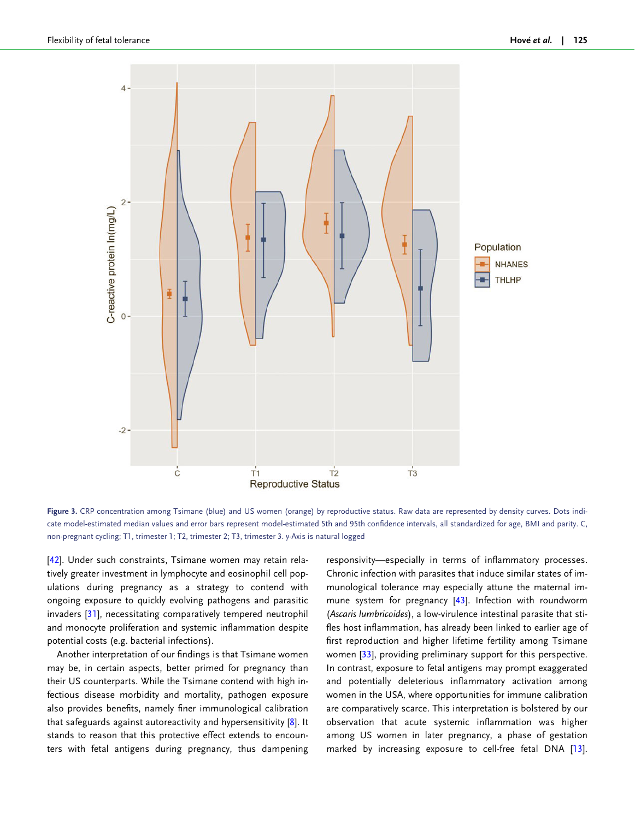<span id="page-13-0"></span>

Figure 3. CRP concentration among Tsimane (blue) and US women (orange) by reproductive status. Raw data are represented by density curves. Dots indicate model-estimated median values and error bars represent model-estimated 5th and 95th confidence intervals, all standardized for age, BMI and parity. C, non-pregnant cycling; T1, trimester 1; T2, trimester 2; T3, trimester 3. y-Axis is natural logged

[[42](#page-16-0)]. Under such constraints, Tsimane women may retain relatively greater investment in lymphocyte and eosinophil cell populations during pregnancy as a strategy to contend with ongoing exposure to quickly evolving pathogens and parasitic invaders [\[31\]](#page-16-0), necessitating comparatively tempered neutrophil and monocyte proliferation and systemic inflammation despite potential costs (e.g. bacterial infections).

Another interpretation of our findings is that Tsimane women may be, in certain aspects, better primed for pregnancy than their US counterparts. While the Tsimane contend with high infectious disease morbidity and mortality, pathogen exposure also provides benefits, namely finer immunological calibration that safeguards against autoreactivity and hypersensitivity [[8](#page-15-0)]. It stands to reason that this protective effect extends to encounters with fetal antigens during pregnancy, thus dampening responsivity—especially in terms of inflammatory processes. Chronic infection with parasites that induce similar states of immunological tolerance may especially attune the maternal immune system for pregnancy [[43](#page-16-0)]. Infection with roundworm (Ascaris lumbricoides), a low-virulence intestinal parasite that stifles host inflammation, has already been linked to earlier age of first reproduction and higher lifetime fertility among Tsimane women [\[33\]](#page-16-0), providing preliminary support for this perspective. In contrast, exposure to fetal antigens may prompt exaggerated and potentially deleterious inflammatory activation among women in the USA, where opportunities for immune calibration are comparatively scarce. This interpretation is bolstered by our observation that acute systemic inflammation was higher among US women in later pregnancy, a phase of gestation marked by increasing exposure to cell-free fetal DNA [[13](#page-15-0)].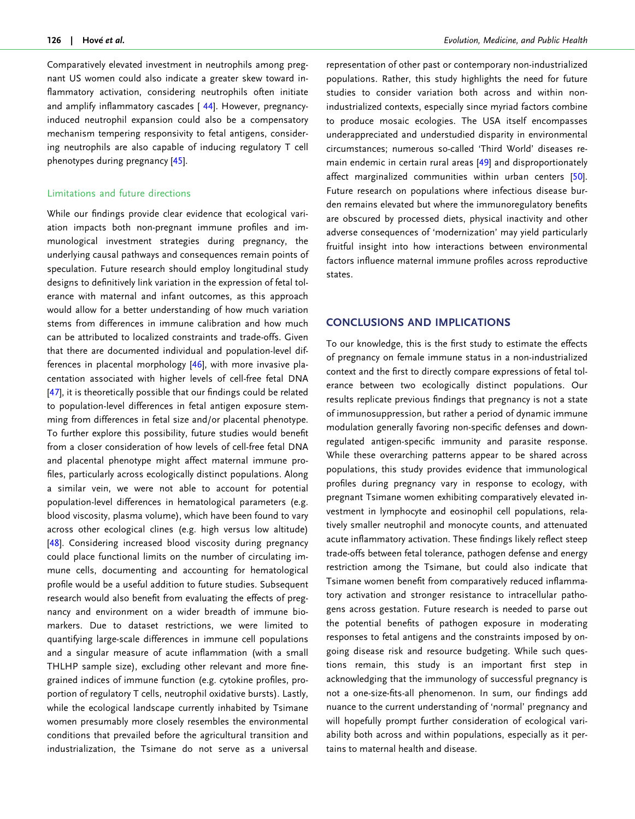<span id="page-14-0"></span>126 | Hove et al. **Evolution, Medicine, and Public Health** Evolution, Medicine, and Public Health

Comparatively elevated investment in neutrophils among pregnant US women could also indicate a greater skew toward inflammatory activation, considering neutrophils often initiate and amplify inflammatory cascades [[44\]](#page-16-0). However, pregnancyinduced neutrophil expansion could also be a compensatory mechanism tempering responsivity to fetal antigens, considering neutrophils are also capable of inducing regulatory T cell phenotypes during pregnancy [[45](#page-16-0)].

#### Limitations and future directions

While our findings provide clear evidence that ecological variation impacts both non-pregnant immune profiles and immunological investment strategies during pregnancy, the underlying causal pathways and consequences remain points of speculation. Future research should employ longitudinal study designs to definitively link variation in the expression of fetal tolerance with maternal and infant outcomes, as this approach would allow for a better understanding of how much variation stems from differences in immune calibration and how much can be attributed to localized constraints and trade-offs. Given that there are documented individual and population-level differences in placental morphology [\[46\]](#page-16-0), with more invasive placentation associated with higher levels of cell-free fetal DNA [[47](#page-16-0)], it is theoretically possible that our findings could be related to population-level differences in fetal antigen exposure stemming from differences in fetal size and/or placental phenotype. To further explore this possibility, future studies would benefit from a closer consideration of how levels of cell-free fetal DNA and placental phenotype might affect maternal immune profiles, particularly across ecologically distinct populations. Along a similar vein, we were not able to account for potential population-level differences in hematological parameters (e.g. blood viscosity, plasma volume), which have been found to vary across other ecological clines (e.g. high versus low altitude) [[48](#page-16-0)]. Considering increased blood viscosity during pregnancy could place functional limits on the number of circulating immune cells, documenting and accounting for hematological profile would be a useful addition to future studies. Subsequent research would also benefit from evaluating the effects of pregnancy and environment on a wider breadth of immune biomarkers. Due to dataset restrictions, we were limited to quantifying large-scale differences in immune cell populations and a singular measure of acute inflammation (with a small THLHP sample size), excluding other relevant and more finegrained indices of immune function (e.g. cytokine profiles, proportion of regulatory T cells, neutrophil oxidative bursts). Lastly, while the ecological landscape currently inhabited by Tsimane women presumably more closely resembles the environmental conditions that prevailed before the agricultural transition and industrialization, the Tsimane do not serve as a universal representation of other past or contemporary non-industrialized populations. Rather, this study highlights the need for future studies to consider variation both across and within nonindustrialized contexts, especially since myriad factors combine to produce mosaic ecologies. The USA itself encompasses underappreciated and understudied disparity in environmental circumstances; numerous so-called 'Third World' diseases remain endemic in certain rural areas [\[49\]](#page-16-0) and disproportionately affect marginalized communities within urban centers [[50](#page-16-0)]. Future research on populations where infectious disease burden remains elevated but where the immunoregulatory benefits are obscured by processed diets, physical inactivity and other adverse consequences of 'modernization' may yield particularly fruitful insight into how interactions between environmental factors influence maternal immune profiles across reproductive states.

#### CONCLUSIONS AND IMPLICATIONS

To our knowledge, this is the first study to estimate the effects of pregnancy on female immune status in a non-industrialized context and the first to directly compare expressions of fetal tolerance between two ecologically distinct populations. Our results replicate previous findings that pregnancy is not a state of immunosuppression, but rather a period of dynamic immune modulation generally favoring non-specific defenses and downregulated antigen-specific immunity and parasite response. While these overarching patterns appear to be shared across populations, this study provides evidence that immunological profiles during pregnancy vary in response to ecology, with pregnant Tsimane women exhibiting comparatively elevated investment in lymphocyte and eosinophil cell populations, relatively smaller neutrophil and monocyte counts, and attenuated acute inflammatory activation. These findings likely reflect steep trade-offs between fetal tolerance, pathogen defense and energy restriction among the Tsimane, but could also indicate that Tsimane women benefit from comparatively reduced inflammatory activation and stronger resistance to intracellular pathogens across gestation. Future research is needed to parse out the potential benefits of pathogen exposure in moderating responses to fetal antigens and the constraints imposed by ongoing disease risk and resource budgeting. While such questions remain, this study is an important first step in acknowledging that the immunology of successful pregnancy is not a one-size-fits-all phenomenon. In sum, our findings add nuance to the current understanding of 'normal' pregnancy and will hopefully prompt further consideration of ecological variability both across and within populations, especially as it pertains to maternal health and disease.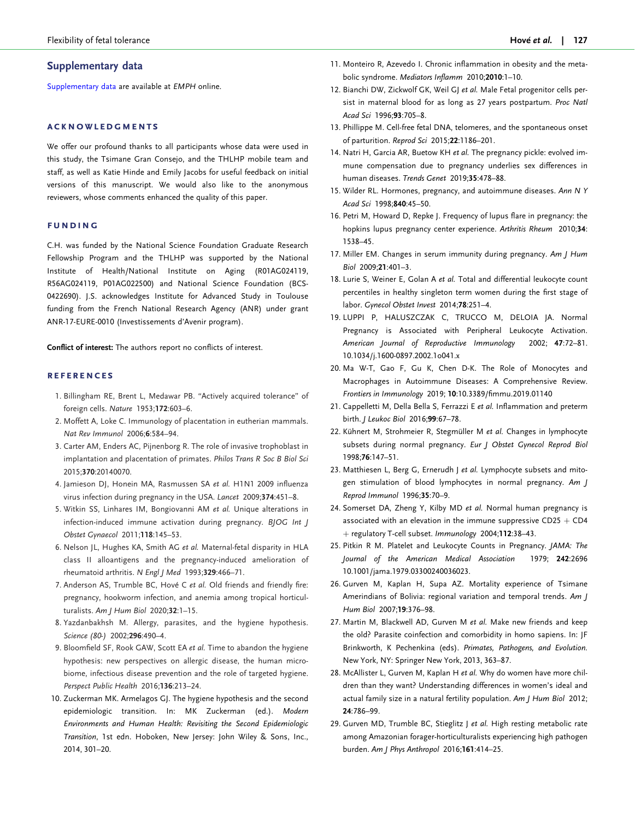#### <span id="page-15-0"></span>Supplementary data

[Supplementary data](https://academic.oup.com/emph/article-lookup/doi/10.1093/emph/eoaa022#supplementary-data) are available at EMPH online.

#### acknowledgments

We offer our profound thanks to all participants whose data were used in this study, the Tsimane Gran Consejo, and the THLHP mobile team and staff, as well as Katie Hinde and Emily Jacobs for useful feedback on initial versions of this manuscript. We would also like to the anonymous reviewers, whose comments enhanced the quality of this paper.

#### funding

C.H. was funded by the National Science Foundation Graduate Research Fellowship Program and the THLHP was supported by the National Institute of Health/National Institute on Aging (R01AG024119, R56AG024119, P01AG022500) and National Science Foundation (BCS-0422690). J.S. acknowledges Institute for Advanced Study in Toulouse funding from the French National Research Agency (ANR) under grant ANR-17-EURE-0010 (Investissements d'Avenir program).

Conflict of interest: The authors report no conflicts of interest.

#### **REFERENCES**

- [1](#page-3-0). Billingham RE, Brent L, Medawar PB. "Actively acquired tolerance" of foreign cells. Nature 1953;172:603–6.
- [2](#page-3-0). Moffett A, Loke C. Immunology of placentation in eutherian mammals. Nat Rev Immunol 2006;6:584–94.
- [3](#page-3-0). Carter AM, Enders AC, Pijnenborg R. The role of invasive trophoblast in implantation and placentation of primates. Philos Trans R Soc B Biol Sci 2015;370:20140070.
- [4](#page-3-0). Jamieson DJ, Honein MA, Rasmussen SA et al. H1N1 2009 influenza virus infection during pregnancy in the USA. Lancet 2009;374:451–8.
- [5](#page-3-0). Witkin SS, Linhares IM, Bongiovanni AM et al. Unique alterations in infection-induced immune activation during pregnancy. BJOG Int J Obstet Gynaecol 2011;118:145–53.
- 6. Nelson JL, Hughes KA, Smith AG et al. Maternal-fetal disparity in HLA class II alloantigens and the pregnancy-induced amelioration of rheumatoid arthritis. N Engl | Med 1993;329:466-71.
- [7](#page-12-0). Anderson AS, Trumble BC, Hové C et al. Old friends and friendly fire: pregnancy, hookworm infection, and anemia among tropical horticulturalists. Am J Hum Biol 2020;32:1-15.
- [8](#page-3-0). Yazdanbakhsh M. Allergy, parasites, and the hygiene hypothesis. Science (80-) 2002;296:490–4.
- [9](#page-3-0). Bloomfield SF, Rook GAW, Scott EA et al. Time to abandon the hygiene hypothesis: new perspectives on allergic disease, the human microbiome, infectious disease prevention and the role of targeted hygiene. Perspect Public Health 2016;136:213–24.
- [10](#page-3-0). Zuckerman MK. Armelagos GJ. The hygiene hypothesis and the second epidemiologic transition. In: MK Zuckerman (ed.). Modern Environments and Human Health: Revisiting the Second Epidemiologic Transition, 1st edn. Hoboken, New Jersey: John Wiley & Sons, Inc., 2014, 301–20.
- [11.](#page-3-0) Monteiro R, Azevedo I. Chronic inflammation in obesity and the metabolic syndrome. Mediators Inflamm 2010;2010:1–10.
- [12.](#page-3-0) Bianchi DW, Zickwolf GK, Weil GJ et al. Male Fetal progenitor cells persist in maternal blood for as long as 27 years postpartum. Proc Natl Acad Sci 1996;93:705–8.
- [13.](#page-3-0) Phillippe M. Cell-free fetal DNA, telomeres, and the spontaneous onset of parturition. Reprod Sci 2015;22:1186–201.
- [14.](#page-3-0) Natri H, Garcia AR, Buetow KH et al. The pregnancy pickle: evolved immune compensation due to pregnancy underlies sex differences in human diseases. Trends Genet 2019;35:478–88.
- [15.](#page-3-0) Wilder RL. Hormones, pregnancy, and autoimmune diseases. Ann N Y Acad Sci 1998;840:45–50.
- [16.](#page-3-0) Petri M, Howard D, Repke J. Frequency of lupus flare in pregnancy: the hopkins lupus pregnancy center experience. Arthritis Rheum 2010;34: 1538–45.
- [17.](#page-3-0) Miller EM. Changes in serum immunity during pregnancy. Am J Hum Biol 2009;21:401–3.
- [18.](#page-3-0) Lurie S, Weiner E, Golan A et al. Total and differential leukocyte count percentiles in healthy singleton term women during the first stage of labor. Gynecol Obstet Invest 2014;78:251–4.
- [19.](#page-3-0) LUPPI P, HALUSZCZAK C, TRUCCO M, DELOIA JA. Normal Pregnancy is Associated with Peripheral Leukocyte Activation. American Journal of Reproductive Immunology 2002; 47:72–81. 10.1034/j.1600-0897.2002.1o041.x
- [20.](#page-3-0) Ma W-T, Gao F, Gu K, Chen D-K. The Role of Monocytes and Macrophages in Autoimmune Diseases: A Comprehensive Review. Frontiers in Immunology 2019; 10:10.3389/fimmu.2019.01140
- [21.](#page-3-0) Cappelletti M, Della Bella S, Ferrazzi E et al. Inflammation and preterm birth. J Leukoc Biol 2016;99:67–78.
- [22.](#page-3-0) Kühnert M, Strohmeier R, Stegmüller M et al. Changes in lymphocyte subsets during normal pregnancy. Eur J Obstet Gynecol Reprod Biol 1998;76:147–51.
- [23.](#page-3-0) Matthiesen L, Berg G, Ernerudh J et al. Lymphocyte subsets and mitogen stimulation of blood lymphocytes in normal pregnancy. Am J Reprod Immunol 1996;35:70–9.
- [24.](#page-3-0) Somerset DA, Zheng Y, Kilby MD et al. Normal human pregnancy is associated with an elevation in the immune suppressive CD25  $+$  CD4 þ regulatory T-cell subset. Immunology 2004;112:38–43.
- [25.](#page-3-0) Pitkin R M. Platelet and Leukocyte Counts in Pregnancy. JAMA: The Journal of the American Medical Association 1979; 242:2696 10.1001/jama.1979.03300240036023.
- [26.](#page-4-0) Gurven M, Kaplan H, Supa AZ. Mortality experience of Tsimane Amerindians of Bolivia: regional variation and temporal trends. Am J Hum Biol 2007;19:376–98.
- [27.](#page-4-0) Martin M, Blackwell AD, Gurven M et al. Make new friends and keep the old? Parasite coinfection and comorbidity in homo sapiens. In: JF Brinkworth, K Pechenkina (eds). Primates, Pathogens, and Evolution. New York, NY: Springer New York, 2013, 363–87.
- [28.](#page-4-0) McAllister L, Gurven M, Kaplan H et al. Why do women have more children than they want? Understanding differences in women's ideal and actual family size in a natural fertility population. Am J Hum Biol 2012; 24:786–99.
- [29.](#page-4-0) Gurven MD, Trumble BC, Stieglitz J et al. High resting metabolic rate among Amazonian forager-horticulturalists experiencing high pathogen burden. Am J Phys Anthropol 2016;161:414-25.